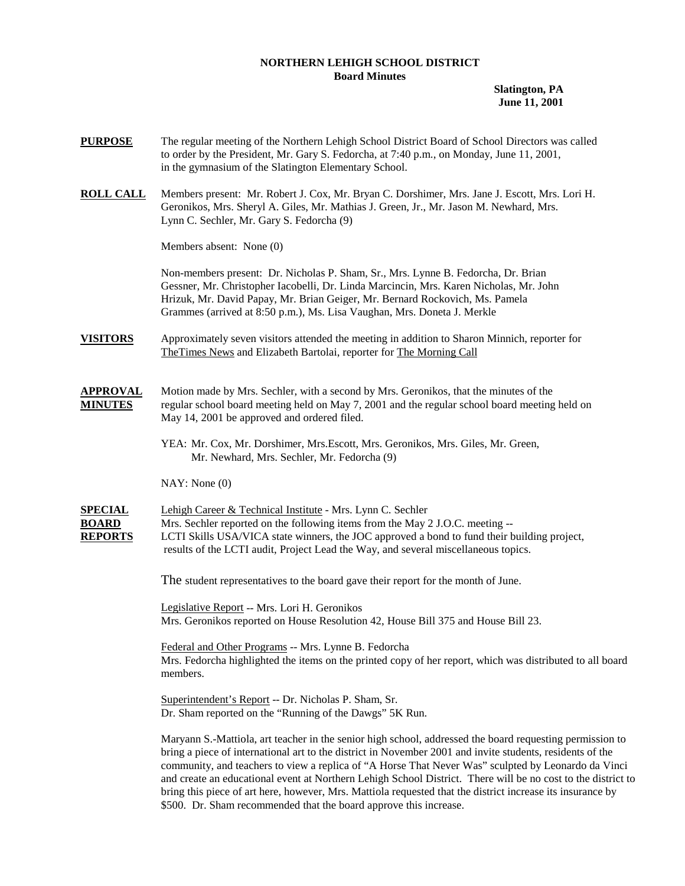## **NORTHERN LEHIGH SCHOOL DISTRICT Board Minutes**

**Slatington, PA June 11, 2001** 

- **PURPOSE** The regular meeting of the Northern Lehigh School District Board of School Directors was called to order by the President, Mr. Gary S. Fedorcha, at 7:40 p.m., on Monday, June 11, 2001, in the gymnasium of the Slatington Elementary School.
- **ROLL CALL** Members present: Mr. Robert J. Cox, Mr. Bryan C. Dorshimer, Mrs. Jane J. Escott, Mrs. Lori H. Geronikos, Mrs. Sheryl A. Giles, Mr. Mathias J. Green, Jr., Mr. Jason M. Newhard, Mrs. Lynn C. Sechler, Mr. Gary S. Fedorcha (9)

Members absent: None (0)

Non-members present: Dr. Nicholas P. Sham, Sr., Mrs. Lynne B. Fedorcha, Dr. Brian Gessner, Mr. Christopher Iacobelli, Dr. Linda Marcincin, Mrs. Karen Nicholas, Mr. John Hrizuk, Mr. David Papay, Mr. Brian Geiger, Mr. Bernard Rockovich, Ms. Pamela Grammes (arrived at 8:50 p.m.), Ms. Lisa Vaughan, Mrs. Doneta J. Merkle

- **VISITORS** Approximately seven visitors attended the meeting in addition to Sharon Minnich, reporter for TheTimes News and Elizabeth Bartolai, reporter for The Morning Call
- **APPROVAL** Motion made by Mrs. Sechler, with a second by Mrs. Geronikos, that the minutes of the **MINUTES** regular school board meeting held on May 7, 2001 and the regular school board meeting held on May 14, 2001 be approved and ordered filed.

 YEA: Mr. Cox, Mr. Dorshimer, Mrs.Escott, Mrs. Geronikos, Mrs. Giles, Mr. Green, Mr. Newhard, Mrs. Sechler, Mr. Fedorcha (9)

NAY: None (0)

**SPECIAL** Lehigh Career & Technical Institute - Mrs. Lynn C. Sechler **BOARD** Mrs. Sechler reported on the following items from the May 2 J.O.C. meeting --**REPORTS** LCTI Skills USA/VICA state winners, the JOC approved a bond to fund their building project, results of the LCTI audit, Project Lead the Way, and several miscellaneous topics.

The student representatives to the board gave their report for the month of June.

 Legislative Report -- Mrs. Lori H. Geronikos Mrs. Geronikos reported on House Resolution 42, House Bill 375 and House Bill 23.

 Federal and Other Programs -- Mrs. Lynne B. Fedorcha Mrs. Fedorcha highlighted the items on the printed copy of her report, which was distributed to all board members.

 Superintendent's Report -- Dr. Nicholas P. Sham, Sr. Dr. Sham reported on the "Running of the Dawgs" 5K Run.

Maryann S.-Mattiola, art teacher in the senior high school, addressed the board requesting permission to bring a piece of international art to the district in November 2001 and invite students, residents of the community, and teachers to view a replica of "A Horse That Never Was" sculpted by Leonardo da Vinci and create an educational event at Northern Lehigh School District. There will be no cost to the district to bring this piece of art here, however, Mrs. Mattiola requested that the district increase its insurance by \$500. Dr. Sham recommended that the board approve this increase.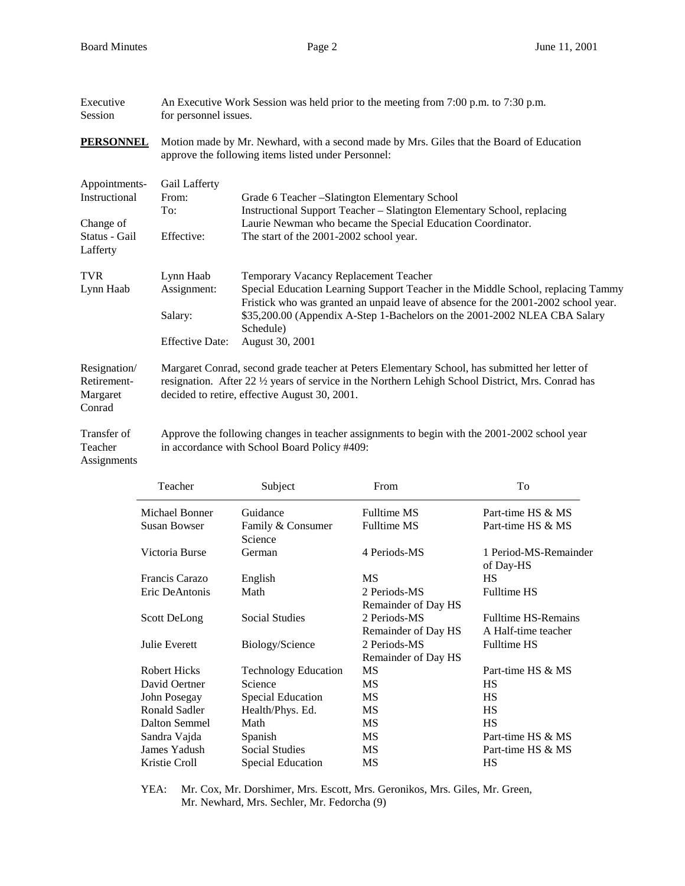| Executive<br>Session                                                     | An Executive Work Session was held prior to the meeting from $7:00$ p.m. to $7:30$ p.m.<br>for personnel issues.                                                                                                                                                                   |                                                                                                                                                                                                                                                                                                                              |  |  |  |
|--------------------------------------------------------------------------|------------------------------------------------------------------------------------------------------------------------------------------------------------------------------------------------------------------------------------------------------------------------------------|------------------------------------------------------------------------------------------------------------------------------------------------------------------------------------------------------------------------------------------------------------------------------------------------------------------------------|--|--|--|
| <b>PERSONNEL</b>                                                         | Motion made by Mr. Newhard, with a second made by Mrs. Giles that the Board of Education<br>approve the following items listed under Personnel:                                                                                                                                    |                                                                                                                                                                                                                                                                                                                              |  |  |  |
| Appointments-<br>Instructional<br>Change of<br>Status - Gail<br>Lafferty | Gail Lafferty<br>From:<br>Grade 6 Teacher - Slatington Elementary School<br>Instructional Support Teacher - Slatington Elementary School, replacing<br>To:<br>Laurie Newman who became the Special Education Coordinator.<br>Effective:<br>The start of the 2001-2002 school year. |                                                                                                                                                                                                                                                                                                                              |  |  |  |
| <b>TVR</b><br>Lynn Haab                                                  | Lynn Haab<br>Assignment:<br>Salary:<br><b>Effective Date:</b>                                                                                                                                                                                                                      | Temporary Vacancy Replacement Teacher<br>Special Education Learning Support Teacher in the Middle School, replacing Tammy<br>Fristick who was granted an unpaid leave of absence for the 2001-2002 school year.<br>\$35,200.00 (Appendix A-Step 1-Bachelors on the 2001-2002 NLEA CBA Salary<br>Schedule)<br>August 30, 2001 |  |  |  |
| Resignation/<br>Retirement-<br>Margaret<br>Conrad                        | Margaret Conrad, second grade teacher at Peters Elementary School, has submitted her letter of<br>resignation. After 22 1/2 years of service in the Northern Lehigh School District, Mrs. Conrad has<br>decided to retire, effective August 30, 2001.                              |                                                                                                                                                                                                                                                                                                                              |  |  |  |
| Transfer of<br>Teacher<br>Assignments                                    | Approve the following changes in teacher assignments to begin with the 2001-2002 school year<br>in accordance with School Board Policy #409:                                                                                                                                       |                                                                                                                                                                                                                                                                                                                              |  |  |  |

| Teacher             | Subject                      | From                | To                                 |
|---------------------|------------------------------|---------------------|------------------------------------|
| Michael Bonner      | Guidance                     | <b>Fulltime MS</b>  | Part-time HS & MS                  |
| <b>Susan Bowser</b> | Family & Consumer<br>Science | <b>Fulltime MS</b>  | Part-time HS & MS                  |
| Victoria Burse      | German                       | 4 Periods-MS        | 1 Period-MS-Remainder<br>of Day-HS |
| Francis Carazo      | English                      | МS                  | <b>HS</b>                          |
| Eric DeAntonis      | Math                         | 2 Periods-MS        | <b>Fulltime HS</b>                 |
|                     |                              | Remainder of Day HS |                                    |
| <b>Scott DeLong</b> | <b>Social Studies</b>        | 2 Periods-MS        | <b>Fulltime HS-Remains</b>         |
|                     |                              | Remainder of Day HS | A Half-time teacher                |
| Julie Everett       | Biology/Science              | 2 Periods-MS        | <b>Fulltime HS</b>                 |
|                     |                              | Remainder of Day HS |                                    |
| <b>Robert Hicks</b> | <b>Technology Education</b>  | <b>MS</b>           | Part-time HS & MS                  |
| David Oertner       | Science                      | МS                  | <b>HS</b>                          |
| John Posegay        | <b>Special Education</b>     | MS                  | HS                                 |
| Ronald Sadler       | Health/Phys. Ed.             | МS                  | <b>HS</b>                          |
| Dalton Semmel       | Math                         | МS                  | <b>HS</b>                          |
| Sandra Vajda        | Spanish                      | МS                  | Part-time HS & MS                  |
| James Yadush        | <b>Social Studies</b>        | МS                  | Part-time HS & MS                  |
| Kristie Croll       | Special Education            | MS                  | HS                                 |

 YEA: Mr. Cox, Mr. Dorshimer, Mrs. Escott, Mrs. Geronikos, Mrs. Giles, Mr. Green, Mr. Newhard, Mrs. Sechler, Mr. Fedorcha (9)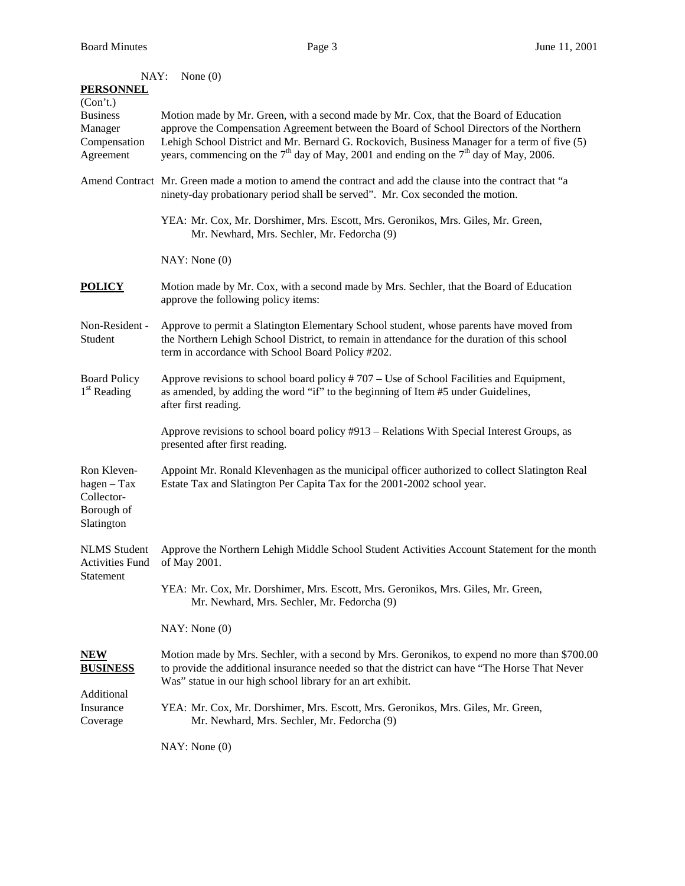| NAY:                                                                   | None $(0)$                                                                                                                                                                                                                                                                                                                                                                    |  |  |  |  |
|------------------------------------------------------------------------|-------------------------------------------------------------------------------------------------------------------------------------------------------------------------------------------------------------------------------------------------------------------------------------------------------------------------------------------------------------------------------|--|--|--|--|
| <b>PERSONNEL</b>                                                       |                                                                                                                                                                                                                                                                                                                                                                               |  |  |  |  |
| (Con't.)<br><b>Business</b><br>Manager<br>Compensation<br>Agreement    | Motion made by Mr. Green, with a second made by Mr. Cox, that the Board of Education<br>approve the Compensation Agreement between the Board of School Directors of the Northern<br>Lehigh School District and Mr. Bernard G. Rockovich, Business Manager for a term of five (5)<br>years, commencing on the $7th$ day of May, 2001 and ending on the $7th$ day of May, 2006. |  |  |  |  |
|                                                                        | Amend Contract Mr. Green made a motion to amend the contract and add the clause into the contract that "a<br>ninety-day probationary period shall be served". Mr. Cox seconded the motion.                                                                                                                                                                                    |  |  |  |  |
|                                                                        | YEA: Mr. Cox, Mr. Dorshimer, Mrs. Escott, Mrs. Geronikos, Mrs. Giles, Mr. Green,<br>Mr. Newhard, Mrs. Sechler, Mr. Fedorcha (9)                                                                                                                                                                                                                                               |  |  |  |  |
|                                                                        | NAY: None (0)                                                                                                                                                                                                                                                                                                                                                                 |  |  |  |  |
| <b>POLICY</b>                                                          | Motion made by Mr. Cox, with a second made by Mrs. Sechler, that the Board of Education<br>approve the following policy items:                                                                                                                                                                                                                                                |  |  |  |  |
| Non-Resident -<br>Student                                              | Approve to permit a Slatington Elementary School student, whose parents have moved from<br>the Northern Lehigh School District, to remain in attendance for the duration of this school<br>term in accordance with School Board Policy #202.                                                                                                                                  |  |  |  |  |
| <b>Board Policy</b><br>$1st$ Reading                                   | Approve revisions to school board policy $#707 -$ Use of School Facilities and Equipment,<br>as amended, by adding the word "if" to the beginning of Item #5 under Guidelines,<br>after first reading.                                                                                                                                                                        |  |  |  |  |
|                                                                        | Approve revisions to school board policy #913 – Relations With Special Interest Groups, as<br>presented after first reading.                                                                                                                                                                                                                                                  |  |  |  |  |
| Ron Kleven-<br>$hagen - Tax$<br>Collector-<br>Borough of<br>Slatington | Appoint Mr. Ronald Klevenhagen as the municipal officer authorized to collect Slatington Real<br>Estate Tax and Slatington Per Capita Tax for the 2001-2002 school year.                                                                                                                                                                                                      |  |  |  |  |
| <b>NLMS</b> Student<br><b>Activities Fund</b><br>Statement             | Approve the Northern Lehigh Middle School Student Activities Account Statement for the month<br>of May 2001.                                                                                                                                                                                                                                                                  |  |  |  |  |
|                                                                        | YEA: Mr. Cox, Mr. Dorshimer, Mrs. Escott, Mrs. Geronikos, Mrs. Giles, Mr. Green,<br>Mr. Newhard, Mrs. Sechler, Mr. Fedorcha (9)                                                                                                                                                                                                                                               |  |  |  |  |
|                                                                        | NAY: None(0)                                                                                                                                                                                                                                                                                                                                                                  |  |  |  |  |
| <b>NEW</b><br><b>BUSINESS</b>                                          | Motion made by Mrs. Sechler, with a second by Mrs. Geronikos, to expend no more than \$700.00<br>to provide the additional insurance needed so that the district can have "The Horse That Never<br>Was" statue in our high school library for an art exhibit.                                                                                                                 |  |  |  |  |
| Additional<br>Insurance<br>Coverage                                    | YEA: Mr. Cox, Mr. Dorshimer, Mrs. Escott, Mrs. Geronikos, Mrs. Giles, Mr. Green,<br>Mr. Newhard, Mrs. Sechler, Mr. Fedorcha (9)                                                                                                                                                                                                                                               |  |  |  |  |
|                                                                        |                                                                                                                                                                                                                                                                                                                                                                               |  |  |  |  |

NAY: None (0)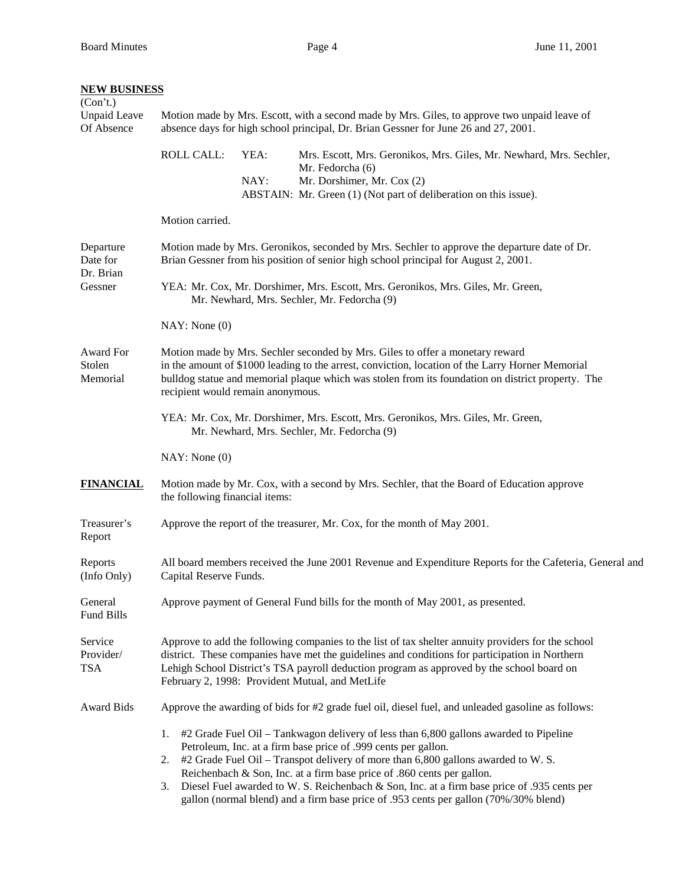| <b>NEW BUSINESS</b>                           |                                                                                                                                                                                                                                                                                                                                                      |              |                                                                                                                                                                                                                                                               |  |  |  |
|-----------------------------------------------|------------------------------------------------------------------------------------------------------------------------------------------------------------------------------------------------------------------------------------------------------------------------------------------------------------------------------------------------------|--------------|---------------------------------------------------------------------------------------------------------------------------------------------------------------------------------------------------------------------------------------------------------------|--|--|--|
| (Con't.)<br><b>Unpaid Leave</b><br>Of Absence |                                                                                                                                                                                                                                                                                                                                                      |              | Motion made by Mrs. Escott, with a second made by Mrs. Giles, to approve two unpaid leave of<br>absence days for high school principal, Dr. Brian Gessner for June 26 and 27, 2001.                                                                           |  |  |  |
|                                               | <b>ROLL CALL:</b>                                                                                                                                                                                                                                                                                                                                    | YEA:<br>NAY: | Mrs. Escott, Mrs. Geronikos, Mrs. Giles, Mr. Newhard, Mrs. Sechler,<br>Mr. Fedorcha (6)<br>Mr. Dorshimer, Mr. Cox (2)<br>ABSTAIN: Mr. Green (1) (Not part of deliberation on this issue).                                                                     |  |  |  |
|                                               | Motion carried.                                                                                                                                                                                                                                                                                                                                      |              |                                                                                                                                                                                                                                                               |  |  |  |
| Departure<br>Date for<br>Dr. Brian<br>Gessner | Motion made by Mrs. Geronikos, seconded by Mrs. Sechler to approve the departure date of Dr.<br>Brian Gessner from his position of senior high school principal for August 2, 2001.                                                                                                                                                                  |              |                                                                                                                                                                                                                                                               |  |  |  |
|                                               | YEA: Mr. Cox, Mr. Dorshimer, Mrs. Escott, Mrs. Geronikos, Mrs. Giles, Mr. Green,<br>Mr. Newhard, Mrs. Sechler, Mr. Fedorcha (9)                                                                                                                                                                                                                      |              |                                                                                                                                                                                                                                                               |  |  |  |
|                                               | NAY: None(0)                                                                                                                                                                                                                                                                                                                                         |              |                                                                                                                                                                                                                                                               |  |  |  |
| Award For<br>Stolen<br>Memorial               | Motion made by Mrs. Sechler seconded by Mrs. Giles to offer a monetary reward<br>in the amount of \$1000 leading to the arrest, conviction, location of the Larry Horner Memorial<br>bulldog statue and memorial plaque which was stolen from its foundation on district property. The<br>recipient would remain anonymous.                          |              |                                                                                                                                                                                                                                                               |  |  |  |
|                                               | YEA: Mr. Cox, Mr. Dorshimer, Mrs. Escott, Mrs. Geronikos, Mrs. Giles, Mr. Green,<br>Mr. Newhard, Mrs. Sechler, Mr. Fedorcha (9)                                                                                                                                                                                                                      |              |                                                                                                                                                                                                                                                               |  |  |  |
|                                               | NAY: None(0)                                                                                                                                                                                                                                                                                                                                         |              |                                                                                                                                                                                                                                                               |  |  |  |
| <b>FINANCIAL</b>                              | the following financial items:                                                                                                                                                                                                                                                                                                                       |              | Motion made by Mr. Cox, with a second by Mrs. Sechler, that the Board of Education approve                                                                                                                                                                    |  |  |  |
| Treasurer's<br>Report                         |                                                                                                                                                                                                                                                                                                                                                      |              | Approve the report of the treasurer, Mr. Cox, for the month of May 2001.                                                                                                                                                                                      |  |  |  |
| Reports<br>(Info Only)                        | All board members received the June 2001 Revenue and Expenditure Reports for the Cafeteria, General and<br>Capital Reserve Funds.                                                                                                                                                                                                                    |              |                                                                                                                                                                                                                                                               |  |  |  |
| General<br>Fund Bills                         |                                                                                                                                                                                                                                                                                                                                                      |              | Approve payment of General Fund bills for the month of May 2001, as presented.                                                                                                                                                                                |  |  |  |
| Service<br>Provider/<br><b>TSA</b>            | Approve to add the following companies to the list of tax shelter annuity providers for the school<br>district. These companies have met the guidelines and conditions for participation in Northern<br>Lehigh School District's TSA payroll deduction program as approved by the school board on<br>February 2, 1998: Provident Mutual, and MetLife |              |                                                                                                                                                                                                                                                               |  |  |  |
| <b>Award Bids</b>                             | Approve the awarding of bids for #2 grade fuel oil, diesel fuel, and unleaded gasoline as follows:                                                                                                                                                                                                                                                   |              |                                                                                                                                                                                                                                                               |  |  |  |
|                                               | 1.                                                                                                                                                                                                                                                                                                                                                   |              | #2 Grade Fuel Oil – Tankwagon delivery of less than 6,800 gallons awarded to Pipeline                                                                                                                                                                         |  |  |  |
|                                               | 2.                                                                                                                                                                                                                                                                                                                                                   |              | Petroleum, Inc. at a firm base price of .999 cents per gallon.<br>#2 Grade Fuel Oil - Transpot delivery of more than 6,800 gallons awarded to W. S.                                                                                                           |  |  |  |
|                                               | 3.                                                                                                                                                                                                                                                                                                                                                   |              | Reichenbach & Son, Inc. at a firm base price of .860 cents per gallon.<br>Diesel Fuel awarded to W. S. Reichenbach & Son, Inc. at a firm base price of .935 cents per<br>gallon (normal blend) and a firm base price of .953 cents per gallon (70%/30% blend) |  |  |  |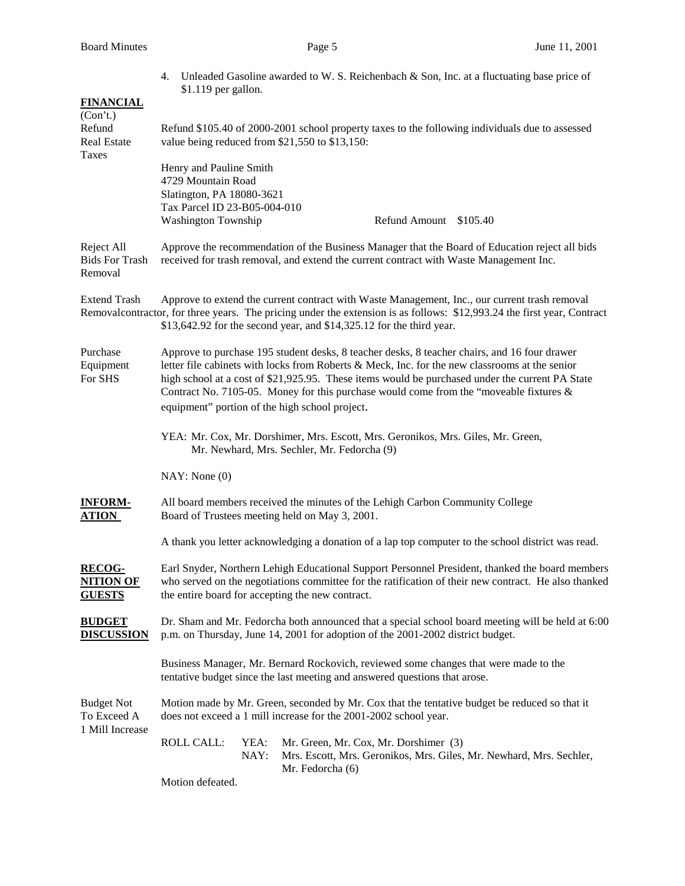4. Unleaded Gasoline awarded to W. S. Reichenbach  $\&$  Son, Inc. at a fluctuating base price of \$1.119 per gallon.

| <b>FINANCIAL</b><br>(Con't.)<br>Refund<br><b>Real Estate</b><br>Taxes |                                                                                                                                                                                                                                                                                                                                                                                                                                                  |              | Refund \$105.40 of 2000-2001 school property taxes to the following individuals due to assessed<br>value being reduced from \$21,550 to \$13,150:                                                                                                                                                 |  |  |  |
|-----------------------------------------------------------------------|--------------------------------------------------------------------------------------------------------------------------------------------------------------------------------------------------------------------------------------------------------------------------------------------------------------------------------------------------------------------------------------------------------------------------------------------------|--------------|---------------------------------------------------------------------------------------------------------------------------------------------------------------------------------------------------------------------------------------------------------------------------------------------------|--|--|--|
|                                                                       | Henry and Pauline Smith<br>4729 Mountain Road<br>Slatington, PA 18080-3621<br>Tax Parcel ID 23-B05-004-010<br>Washington Township                                                                                                                                                                                                                                                                                                                |              | Refund Amount \$105.40                                                                                                                                                                                                                                                                            |  |  |  |
| Reject All<br><b>Bids For Trash</b><br>Removal                        | Approve the recommendation of the Business Manager that the Board of Education reject all bids<br>received for trash removal, and extend the current contract with Waste Management Inc.                                                                                                                                                                                                                                                         |              |                                                                                                                                                                                                                                                                                                   |  |  |  |
| <b>Extend Trash</b>                                                   |                                                                                                                                                                                                                                                                                                                                                                                                                                                  |              | Approve to extend the current contract with Waste Management, Inc., our current trash removal<br>Removal contractor, for three years. The pricing under the extension is as follows: \$12,993.24 the first year, Contract<br>\$13,642.92 for the second year, and \$14,325.12 for the third year. |  |  |  |
| Purchase<br>Equipment<br>For SHS                                      | Approve to purchase 195 student desks, 8 teacher desks, 8 teacher chairs, and 16 four drawer<br>letter file cabinets with locks from Roberts & Meck, Inc. for the new classrooms at the senior<br>high school at a cost of \$21,925.95. These items would be purchased under the current PA State<br>Contract No. 7105-05. Money for this purchase would come from the "moveable fixtures $\&$<br>equipment" portion of the high school project. |              |                                                                                                                                                                                                                                                                                                   |  |  |  |
|                                                                       |                                                                                                                                                                                                                                                                                                                                                                                                                                                  |              | YEA: Mr. Cox, Mr. Dorshimer, Mrs. Escott, Mrs. Geronikos, Mrs. Giles, Mr. Green,<br>Mr. Newhard, Mrs. Sechler, Mr. Fedorcha (9)                                                                                                                                                                   |  |  |  |
|                                                                       | NAY: None(0)                                                                                                                                                                                                                                                                                                                                                                                                                                     |              |                                                                                                                                                                                                                                                                                                   |  |  |  |
| <b>INFORM-</b><br>ATION                                               |                                                                                                                                                                                                                                                                                                                                                                                                                                                  |              | All board members received the minutes of the Lehigh Carbon Community College<br>Board of Trustees meeting held on May 3, 2001.                                                                                                                                                                   |  |  |  |
|                                                                       |                                                                                                                                                                                                                                                                                                                                                                                                                                                  |              | A thank you letter acknowledging a donation of a lap top computer to the school district was read.                                                                                                                                                                                                |  |  |  |
| <b>RECOG-</b><br><b>NITION OF</b><br><b>GUESTS</b>                    | Earl Snyder, Northern Lehigh Educational Support Personnel President, thanked the board members<br>who served on the negotiations committee for the ratification of their new contract. He also thanked<br>the entire board for accepting the new contract.                                                                                                                                                                                      |              |                                                                                                                                                                                                                                                                                                   |  |  |  |
| <b>BUDGET</b><br><u>DISCUSSION</u>                                    | Dr. Sham and Mr. Fedorcha both announced that a special school board meeting will be held at 6:00<br>p.m. on Thursday, June 14, 2001 for adoption of the 2001-2002 district budget.                                                                                                                                                                                                                                                              |              |                                                                                                                                                                                                                                                                                                   |  |  |  |
|                                                                       |                                                                                                                                                                                                                                                                                                                                                                                                                                                  |              | Business Manager, Mr. Bernard Rockovich, reviewed some changes that were made to the<br>tentative budget since the last meeting and answered questions that arose.                                                                                                                                |  |  |  |
| <b>Budget Not</b><br>To Exceed A<br>1 Mill Increase                   | Motion made by Mr. Green, seconded by Mr. Cox that the tentative budget be reduced so that it<br>does not exceed a 1 mill increase for the 2001-2002 school year.                                                                                                                                                                                                                                                                                |              |                                                                                                                                                                                                                                                                                                   |  |  |  |
|                                                                       | <b>ROLL CALL:</b>                                                                                                                                                                                                                                                                                                                                                                                                                                | YEA:<br>NAY: | Mr. Green, Mr. Cox, Mr. Dorshimer (3)<br>Mrs. Escott, Mrs. Geronikos, Mrs. Giles, Mr. Newhard, Mrs. Sechler,<br>Mr. Fedorcha (6)                                                                                                                                                                  |  |  |  |
|                                                                       | Motion defeated.                                                                                                                                                                                                                                                                                                                                                                                                                                 |              |                                                                                                                                                                                                                                                                                                   |  |  |  |